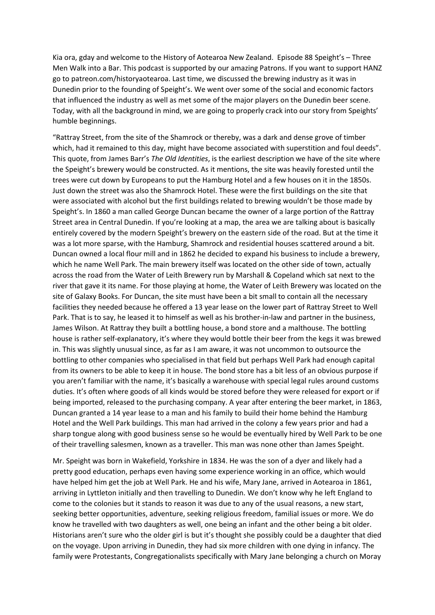Kia ora, gday and welcome to the History of Aotearoa New Zealand. Episode 88 Speight's – Three Men Walk into a Bar. This podcast is supported by our amazing Patrons. If you want to support HANZ go to patreon.com/historyaotearoa. Last time, we discussed the brewing industry as it was in Dunedin prior to the founding of Speight's. We went over some of the social and economic factors that influenced the industry as well as met some of the major players on the Dunedin beer scene. Today, with all the background in mind, we are going to properly crack into our story from Speights' humble beginnings.

"Rattray Street, from the site of the Shamrock or thereby, was a dark and dense grove of timber which, had it remained to this day, might have become associated with superstition and foul deeds". This quote, from James Barr's *The Old Identities*, is the earliest description we have of the site where the Speight's brewery would be constructed. As it mentions, the site was heavily forested until the trees were cut down by Europeans to put the Hamburg Hotel and a few houses on it in the 1850s. Just down the street was also the Shamrock Hotel. These were the first buildings on the site that were associated with alcohol but the first buildings related to brewing wouldn't be those made by Speight's. In 1860 a man called George Duncan became the owner of a large portion of the Rattray Street area in Central Dunedin. If you're looking at a map, the area we are talking about is basically entirely covered by the modern Speight's brewery on the eastern side of the road. But at the time it was a lot more sparse, with the Hamburg, Shamrock and residential houses scattered around a bit. Duncan owned a local flour mill and in 1862 he decided to expand his business to include a brewery, which he name Well Park. The main brewery itself was located on the other side of town, actually across the road from the Water of Leith Brewery run by Marshall & Copeland which sat next to the river that gave it its name. For those playing at home, the Water of Leith Brewery was located on the site of Galaxy Books. For Duncan, the site must have been a bit small to contain all the necessary facilities they needed because he offered a 13 year lease on the lower part of Rattray Street to Well Park. That is to say, he leased it to himself as well as his brother-in-law and partner in the business, James Wilson. At Rattray they built a bottling house, a bond store and a malthouse. The bottling house is rather self-explanatory, it's where they would bottle their beer from the kegs it was brewed in. This was slightly unusual since, as far as I am aware, it was not uncommon to outsource the bottling to other companies who specialised in that field but perhaps Well Park had enough capital from its owners to be able to keep it in house. The bond store has a bit less of an obvious purpose if you aren't familiar with the name, it's basically a warehouse with special legal rules around customs duties. It's often where goods of all kinds would be stored before they were released for export or if being imported, released to the purchasing company. A year after entering the beer market, in 1863, Duncan granted a 14 year lease to a man and his family to build their home behind the Hamburg Hotel and the Well Park buildings. This man had arrived in the colony a few years prior and had a sharp tongue along with good business sense so he would be eventually hired by Well Park to be one of their travelling salesmen, known as a traveller. This man was none other than James Speight.

Mr. Speight was born in Wakefield, Yorkshire in 1834. He was the son of a dyer and likely had a pretty good education, perhaps even having some experience working in an office, which would have helped him get the job at Well Park. He and his wife, Mary Jane, arrived in Aotearoa in 1861, arriving in Lyttleton initially and then travelling to Dunedin. We don't know why he left England to come to the colonies but it stands to reason it was due to any of the usual reasons, a new start, seeking better opportunities, adventure, seeking religious freedom, familial issues or more. We do know he travelled with two daughters as well, one being an infant and the other being a bit older. Historians aren't sure who the older girl is but it's thought she possibly could be a daughter that died on the voyage. Upon arriving in Dunedin, they had six more children with one dying in infancy. The family were Protestants, Congregationalists specifically with Mary Jane belonging a church on Moray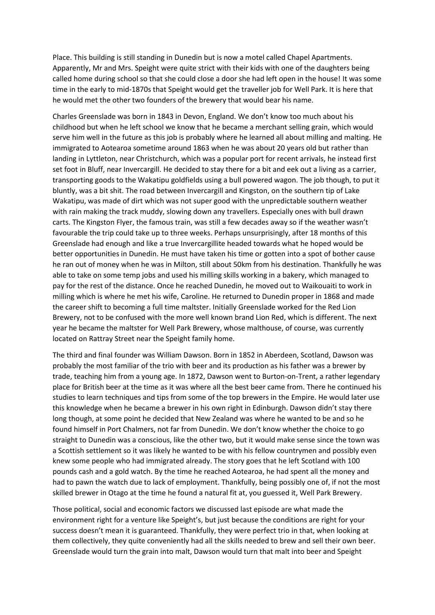Place. This building is still standing in Dunedin but is now a motel called Chapel Apartments. Apparently, Mr and Mrs. Speight were quite strict with their kids with one of the daughters being called home during school so that she could close a door she had left open in the house! It was some time in the early to mid-1870s that Speight would get the traveller job for Well Park. It is here that he would met the other two founders of the brewery that would bear his name.

Charles Greenslade was born in 1843 in Devon, England. We don't know too much about his childhood but when he left school we know that he became a merchant selling grain, which would serve him well in the future as this job is probably where he learned all about milling and malting. He immigrated to Aotearoa sometime around 1863 when he was about 20 years old but rather than landing in Lyttleton, near Christchurch, which was a popular port for recent arrivals, he instead first set foot in Bluff, near Invercargill. He decided to stay there for a bit and eek out a living as a carrier, transporting goods to the Wakatipu goldfields using a bull powered wagon. The job though, to put it bluntly, was a bit shit. The road between Invercargill and Kingston, on the southern tip of Lake Wakatipu, was made of dirt which was not super good with the unpredictable southern weather with rain making the track muddy, slowing down any travellers. Especially ones with bull drawn carts. The Kingston Flyer, the famous train, was still a few decades away so if the weather wasn't favourable the trip could take up to three weeks. Perhaps unsurprisingly, after 18 months of this Greenslade had enough and like a true Invercargillite headed towards what he hoped would be better opportunities in Dunedin. He must have taken his time or gotten into a spot of bother cause he ran out of money when he was in Milton, still about 50km from his destination. Thankfully he was able to take on some temp jobs and used his milling skills working in a bakery, which managed to pay for the rest of the distance. Once he reached Dunedin, he moved out to Waikouaiti to work in milling which is where he met his wife, Caroline. He returned to Dunedin proper in 1868 and made the career shift to becoming a full time maltster. Initially Greenslade worked for the Red Lion Brewery, not to be confused with the more well known brand Lion Red, which is different. The next year he became the maltster for Well Park Brewery, whose malthouse, of course, was currently located on Rattray Street near the Speight family home.

The third and final founder was William Dawson. Born in 1852 in Aberdeen, Scotland, Dawson was probably the most familiar of the trio with beer and its production as his father was a brewer by trade, teaching him from a young age. In 1872, Dawson went to Burton-on-Trent, a rather legendary place for British beer at the time as it was where all the best beer came from. There he continued his studies to learn techniques and tips from some of the top brewers in the Empire. He would later use this knowledge when he became a brewer in his own right in Edinburgh. Dawson didn't stay there long though, at some point he decided that New Zealand was where he wanted to be and so he found himself in Port Chalmers, not far from Dunedin. We don't know whether the choice to go straight to Dunedin was a conscious, like the other two, but it would make sense since the town was a Scottish settlement so it was likely he wanted to be with his fellow countrymen and possibly even knew some people who had immigrated already. The story goes that he left Scotland with 100 pounds cash and a gold watch. By the time he reached Aotearoa, he had spent all the money and had to pawn the watch due to lack of employment. Thankfully, being possibly one of, if not the most skilled brewer in Otago at the time he found a natural fit at, you guessed it, Well Park Brewery.

Those political, social and economic factors we discussed last episode are what made the environment right for a venture like Speight's, but just because the conditions are right for your success doesn't mean it is guaranteed. Thankfully, they were perfect trio in that, when looking at them collectively, they quite conveniently had all the skills needed to brew and sell their own beer. Greenslade would turn the grain into malt, Dawson would turn that malt into beer and Speight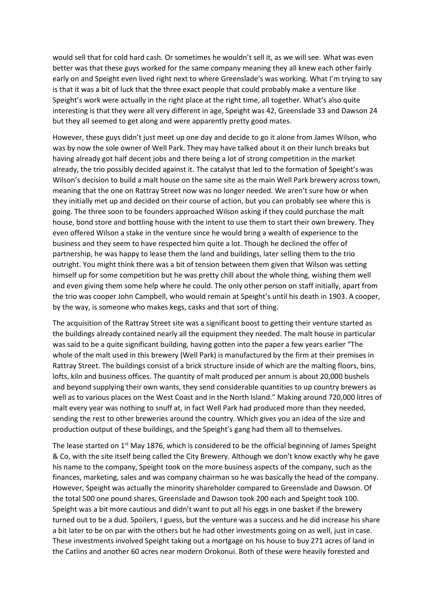would sell that for cold hard cash. Or sometimes he wouldn't sell it, as we will see. What was even better was that these guys worked for the same company meaning they all knew each other fairly early on and Speight even lived right next to where Greenslade's was working. What I'm trying to say is that it was a bit of luck that the three exact people that could probably make a venture like Speight's work were actually in the right place at the right time, all together. What's also quite interesting is that they were all very different in age, Speight was 42, Greenslade 33 and Dawson 24 but they all seemed to get along and were apparently pretty good mates.

However, these guys didn't just meet up one day and decide to go it alone from James Wilson, who was by now the sole owner of Well Park. They may have talked about it on their lunch breaks but having already got half decent jobs and there being a lot of strong competition in the market already, the trio possibly decided against it. The catalyst that led to the formation of Speight's was Wilson's decision to build a malt house on the same site as the main Well Park brewery across town, meaning that the one on Rattray Street now was no longer needed. We aren't sure how or when they initially met up and decided on their course of action, but you can probably see where this is going. The three soon to be founders approached Wilson asking if they could purchase the malt house, bond store and bottling house with the intent to use them to start their own brewery. They even offered Wilson a stake in the venture since he would bring a wealth of experience to the business and they seem to have respected him quite a lot. Though he declined the offer of partnership, he was happy to lease them the land and buildings, later selling them to the trio outright. You might think there was a bit of tension between them given that Wilson was setting himself up for some competition but he was pretty chill about the whole thing, wishing them well and even giving them some help where he could. The only other person on staff initially, apart from the trio was cooper John Campbell, who would remain at Speight's until his death in 1903. A cooper, by the way, is someone who makes kegs, casks and that sort of thing.

The acquisition of the Rattray Street site was a significant boost to getting their venture started as the buildings already contained nearly all the equipment they needed. The malt house in particular was said to be a quite significant building, having gotten into the paper a few years earlier "The whole of the malt used in this brewery (Well Park) is manufactured by the firm at their premises in Rattray Street. The buildings consist of a brick structure inside of which are the malting floors, bins, lofts, kiln and business offices. The quantity of malt produced per annum is about 20,000 bushels and beyond supplying their own wants, they send considerable quantities to up country brewers as well as to various places on the West Coast and in the North Island." Making around 720,000 litres of malt every year was nothing to snuff at, in fact Well Park had produced more than they needed, sending the rest to other breweries around the country. Which gives you an idea of the size and production output of these buildings, and the Speight's gang had them all to themselves.

The lease started on  $1<sup>st</sup>$  May 1876, which is considered to be the official beginning of James Speight & Co, with the site itself being called the City Brewery. Although we don't know exactly why he gave his name to the company, Speight took on the more business aspects of the company, such as the finances, marketing, sales and was company chairman so he was basically the head of the company. However, Speight was actually the minority shareholder compared to Greenslade and Dawson. Of the total 500 one pound shares, Greenslade and Dawson took 200 each and Speight took 100. Speight was a bit more cautious and didn't want to put all his eggs in one basket if the brewery turned out to be a dud. Spoilers, I guess, but the venture was a success and he did increase his share a bit later to be on par with the others but he had other investments going on as well, just in case. These investments involved Speight taking out a mortgage on his house to buy 271 acres of land in the Catlins and another 60 acres near modern Orokonui. Both of these were heavily forested and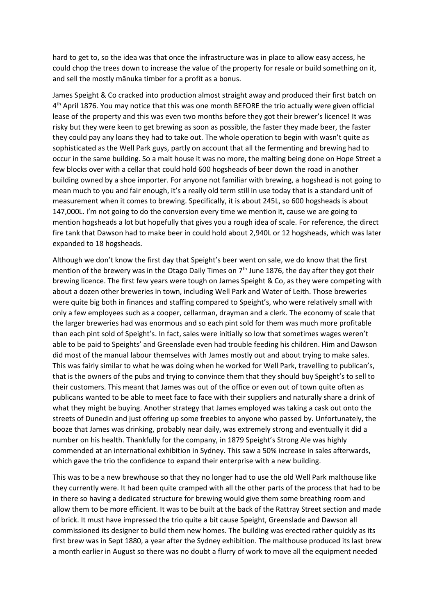hard to get to, so the idea was that once the infrastructure was in place to allow easy access, he could chop the trees down to increase the value of the property for resale or build something on it, and sell the mostly mānuka timber for a profit as a bonus.

James Speight & Co cracked into production almost straight away and produced their first batch on 4<sup>th</sup> April 1876. You may notice that this was one month BEFORE the trio actually were given official lease of the property and this was even two months before they got their brewer's licence! It was risky but they were keen to get brewing as soon as possible, the faster they made beer, the faster they could pay any loans they had to take out. The whole operation to begin with wasn't quite as sophisticated as the Well Park guys, partly on account that all the fermenting and brewing had to occur in the same building. So a malt house it was no more, the malting being done on Hope Street a few blocks over with a cellar that could hold 600 hogsheads of beer down the road in another building owned by a shoe importer. For anyone not familiar with brewing, a hogshead is not going to mean much to you and fair enough, it's a really old term still in use today that is a standard unit of measurement when it comes to brewing. Specifically, it is about 245L, so 600 hogsheads is about 147,000L. I'm not going to do the conversion every time we mention it, cause we are going to mention hogsheads a lot but hopefully that gives you a rough idea of scale. For reference, the direct fire tank that Dawson had to make beer in could hold about 2,940L or 12 hogsheads, which was later expanded to 18 hogsheads.

Although we don't know the first day that Speight's beer went on sale, we do know that the first mention of the brewery was in the Otago Daily Times on 7<sup>th</sup> June 1876, the day after they got their brewing licence. The first few years were tough on James Speight & Co, as they were competing with about a dozen other breweries in town, including Well Park and Water of Leith. Those breweries were quite big both in finances and staffing compared to Speight's, who were relatively small with only a few employees such as a cooper, cellarman, drayman and a clerk. The economy of scale that the larger breweries had was enormous and so each pint sold for them was much more profitable than each pint sold of Speight's. In fact, sales were initially so low that sometimes wages weren't able to be paid to Speights' and Greenslade even had trouble feeding his children. Him and Dawson did most of the manual labour themselves with James mostly out and about trying to make sales. This was fairly similar to what he was doing when he worked for Well Park, travelling to publican's, that is the owners of the pubs and trying to convince them that they should buy Speight's to sell to their customers. This meant that James was out of the office or even out of town quite often as publicans wanted to be able to meet face to face with their suppliers and naturally share a drink of what they might be buying. Another strategy that James employed was taking a cask out onto the streets of Dunedin and just offering up some freebies to anyone who passed by. Unfortunately, the booze that James was drinking, probably near daily, was extremely strong and eventually it did a number on his health. Thankfully for the company, in 1879 Speight's Strong Ale was highly commended at an international exhibition in Sydney. This saw a 50% increase in sales afterwards, which gave the trio the confidence to expand their enterprise with a new building.

This was to be a new brewhouse so that they no longer had to use the old Well Park malthouse like they currently were. It had been quite cramped with all the other parts of the process that had to be in there so having a dedicated structure for brewing would give them some breathing room and allow them to be more efficient. It was to be built at the back of the Rattray Street section and made of brick. It must have impressed the trio quite a bit cause Speight, Greenslade and Dawson all commissioned its designer to build them new homes. The building was erected rather quickly as its first brew was in Sept 1880, a year after the Sydney exhibition. The malthouse produced its last brew a month earlier in August so there was no doubt a flurry of work to move all the equipment needed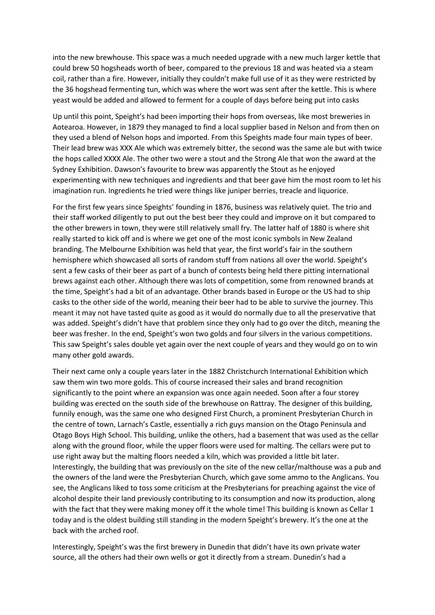into the new brewhouse. This space was a much needed upgrade with a new much larger kettle that could brew 50 hogsheads worth of beer, compared to the previous 18 and was heated via a steam coil, rather than a fire. However, initially they couldn't make full use of it as they were restricted by the 36 hogshead fermenting tun, which was where the wort was sent after the kettle. This is where yeast would be added and allowed to ferment for a couple of days before being put into casks

Up until this point, Speight's had been importing their hops from overseas, like most breweries in Aotearoa. However, in 1879 they managed to find a local supplier based in Nelson and from then on they used a blend of Nelson hops and imported. From this Speights made four main types of beer. Their lead brew was XXX Ale which was extremely bitter, the second was the same ale but with twice the hops called XXXX Ale. The other two were a stout and the Strong Ale that won the award at the Sydney Exhibition. Dawson's favourite to brew was apparently the Stout as he enjoyed experimenting with new techniques and ingredients and that beer gave him the most room to let his imagination run. Ingredients he tried were things like juniper berries, treacle and liquorice.

For the first few years since Speights' founding in 1876, business was relatively quiet. The trio and their staff worked diligently to put out the best beer they could and improve on it but compared to the other brewers in town, they were still relatively small fry. The latter half of 1880 is where shit really started to kick off and is where we get one of the most iconic symbols in New Zealand branding. The Melbourne Exhibition was held that year, the first world's fair in the southern hemisphere which showcased all sorts of random stuff from nations all over the world. Speight's sent a few casks of their beer as part of a bunch of contests being held there pitting international brews against each other. Although there was lots of competition, some from renowned brands at the time, Speight's had a bit of an advantage. Other brands based in Europe or the US had to ship casks to the other side of the world, meaning their beer had to be able to survive the journey. This meant it may not have tasted quite as good as it would do normally due to all the preservative that was added. Speight's didn't have that problem since they only had to go over the ditch, meaning the beer was fresher. In the end, Speight's won two golds and four silvers in the various competitions. This saw Speight's sales double yet again over the next couple of years and they would go on to win many other gold awards.

Their next came only a couple years later in the 1882 Christchurch International Exhibition which saw them win two more golds. This of course increased their sales and brand recognition significantly to the point where an expansion was once again needed. Soon after a four storey building was erected on the south side of the brewhouse on Rattray. The designer of this building, funnily enough, was the same one who designed First Church, a prominent Presbyterian Church in the centre of town, Larnach's Castle, essentially a rich guys mansion on the Otago Peninsula and Otago Boys High School. This building, unlike the others, had a basement that was used as the cellar along with the ground floor, while the upper floors were used for malting. The cellars were put to use right away but the malting floors needed a kiln, which was provided a little bit later. Interestingly, the building that was previously on the site of the new cellar/malthouse was a pub and the owners of the land were the Presbyterian Church, which gave some ammo to the Anglicans. You see, the Anglicans liked to toss some criticism at the Presbyterians for preaching against the vice of alcohol despite their land previously contributing to its consumption and now its production, along with the fact that they were making money off it the whole time! This building is known as Cellar 1 today and is the oldest building still standing in the modern Speight's brewery. It's the one at the back with the arched roof.

Interestingly, Speight's was the first brewery in Dunedin that didn't have its own private water source, all the others had their own wells or got it directly from a stream. Dunedin's had a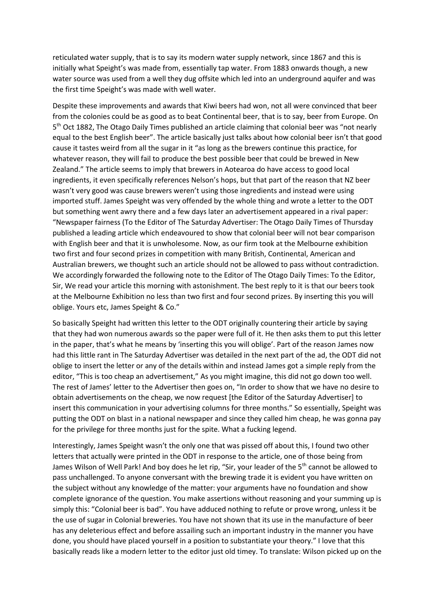reticulated water supply, that is to say its modern water supply network, since 1867 and this is initially what Speight's was made from, essentially tap water. From 1883 onwards though, a new water source was used from a well they dug offsite which led into an underground aquifer and was the first time Speight's was made with well water.

Despite these improvements and awards that Kiwi beers had won, not all were convinced that beer from the colonies could be as good as to beat Continental beer, that is to say, beer from Europe. On 5<sup>th</sup> Oct 1882, The Otago Daily Times published an article claiming that colonial beer was "not nearly equal to the best English beer". The article basically just talks about how colonial beer isn't that good cause it tastes weird from all the sugar in it "as long as the brewers continue this practice, for whatever reason, they will fail to produce the best possible beer that could be brewed in New Zealand." The article seems to imply that brewers in Aotearoa do have access to good local ingredients, it even specifically references Nelson's hops, but that part of the reason that NZ beer wasn't very good was cause brewers weren't using those ingredients and instead were using imported stuff. James Speight was very offended by the whole thing and wrote a letter to the ODT but something went awry there and a few days later an advertisement appeared in a rival paper: "Newspaper fairness (To the Editor of The Saturday Advertiser: The Otago Daily Times of Thursday published a leading article which endeavoured to show that colonial beer will not bear comparison with English beer and that it is unwholesome. Now, as our firm took at the Melbourne exhibition two first and four second prizes in competition with many British, Continental, American and Australian brewers, we thought such an article should not be allowed to pass without contradiction. We accordingly forwarded the following note to the Editor of The Otago Daily Times: To the Editor, Sir, We read your article this morning with astonishment. The best reply to it is that our beers took at the Melbourne Exhibition no less than two first and four second prizes. By inserting this you will oblige. Yours etc, James Speight & Co."

So basically Speight had written this letter to the ODT originally countering their article by saying that they had won numerous awards so the paper were full of it. He then asks them to put this letter in the paper, that's what he means by 'inserting this you will oblige'. Part of the reason James now had this little rant in The Saturday Advertiser was detailed in the next part of the ad, the ODT did not oblige to insert the letter or any of the details within and instead James got a simple reply from the editor, "This is too cheap an advertisement," As you might imagine, this did not go down too well. The rest of James' letter to the Advertiser then goes on, "In order to show that we have no desire to obtain advertisements on the cheap, we now request [the Editor of the Saturday Advertiser] to insert this communication in your advertising columns for three months." So essentially, Speight was putting the ODT on blast in a national newspaper and since they called him cheap, he was gonna pay for the privilege for three months just for the spite. What a fucking legend.

Interestingly, James Speight wasn't the only one that was pissed off about this, I found two other letters that actually were printed in the ODT in response to the article, one of those being from James Wilson of Well Park! And boy does he let rip, "Sir, your leader of the 5<sup>th</sup> cannot be allowed to pass unchallenged. To anyone conversant with the brewing trade it is evident you have written on the subject without any knowledge of the matter: your arguments have no foundation and show complete ignorance of the question. You make assertions without reasoning and your summing up is simply this: "Colonial beer is bad". You have adduced nothing to refute or prove wrong, unless it be the use of sugar in Colonial breweries. You have not shown that its use in the manufacture of beer has any deleterious effect and before assailing such an important industry in the manner you have done, you should have placed yourself in a position to substantiate your theory." I love that this basically reads like a modern letter to the editor just old timey. To translate: Wilson picked up on the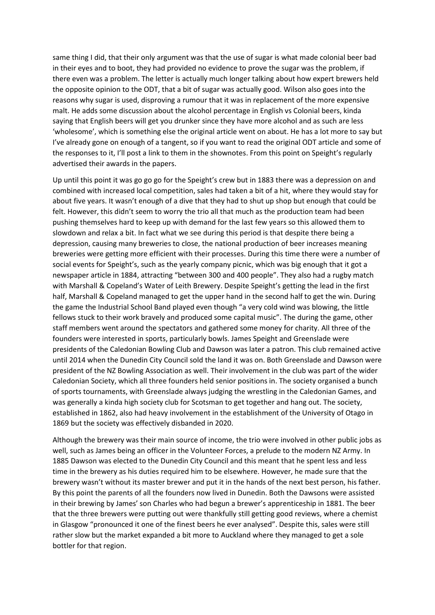same thing I did, that their only argument was that the use of sugar is what made colonial beer bad in their eyes and to boot, they had provided no evidence to prove the sugar was the problem, if there even was a problem. The letter is actually much longer talking about how expert brewers held the opposite opinion to the ODT, that a bit of sugar was actually good. Wilson also goes into the reasons why sugar is used, disproving a rumour that it was in replacement of the more expensive malt. He adds some discussion about the alcohol percentage in English vs Colonial beers, kinda saying that English beers will get you drunker since they have more alcohol and as such are less 'wholesome', which is something else the original article went on about. He has a lot more to say but I've already gone on enough of a tangent, so if you want to read the original ODT article and some of the responses to it, I'll post a link to them in the shownotes. From this point on Speight's regularly advertised their awards in the papers.

Up until this point it was go go go for the Speight's crew but in 1883 there was a depression on and combined with increased local competition, sales had taken a bit of a hit, where they would stay for about five years. It wasn't enough of a dive that they had to shut up shop but enough that could be felt. However, this didn't seem to worry the trio all that much as the production team had been pushing themselves hard to keep up with demand for the last few years so this allowed them to slowdown and relax a bit. In fact what we see during this period is that despite there being a depression, causing many breweries to close, the national production of beer increases meaning breweries were getting more efficient with their processes. During this time there were a number of social events for Speight's, such as the yearly company picnic, which was big enough that it got a newspaper article in 1884, attracting "between 300 and 400 people". They also had a rugby match with Marshall & Copeland's Water of Leith Brewery. Despite Speight's getting the lead in the first half, Marshall & Copeland managed to get the upper hand in the second half to get the win. During the game the Industrial School Band played even though "a very cold wind was blowing, the little fellows stuck to their work bravely and produced some capital music". The during the game, other staff members went around the spectators and gathered some money for charity. All three of the founders were interested in sports, particularly bowls. James Speight and Greenslade were presidents of the Caledonian Bowling Club and Dawson was later a patron. This club remained active until 2014 when the Dunedin City Council sold the land it was on. Both Greenslade and Dawson were president of the NZ Bowling Association as well. Their involvement in the club was part of the wider Caledonian Society, which all three founders held senior positions in. The society organised a bunch of sports tournaments, with Greenslade always judging the wrestling in the Caledonian Games, and was generally a kinda high society club for Scotsman to get together and hang out. The society, established in 1862, also had heavy involvement in the establishment of the University of Otago in 1869 but the society was effectively disbanded in 2020.

Although the brewery was their main source of income, the trio were involved in other public jobs as well, such as James being an officer in the Volunteer Forces, a prelude to the modern NZ Army. In 1885 Dawson was elected to the Dunedin City Council and this meant that he spent less and less time in the brewery as his duties required him to be elsewhere. However, he made sure that the brewery wasn't without its master brewer and put it in the hands of the next best person, his father. By this point the parents of all the founders now lived in Dunedin. Both the Dawsons were assisted in their brewing by James' son Charles who had begun a brewer's apprenticeship in 1881. The beer that the three brewers were putting out were thankfully still getting good reviews, where a chemist in Glasgow "pronounced it one of the finest beers he ever analysed". Despite this, sales were still rather slow but the market expanded a bit more to Auckland where they managed to get a sole bottler for that region.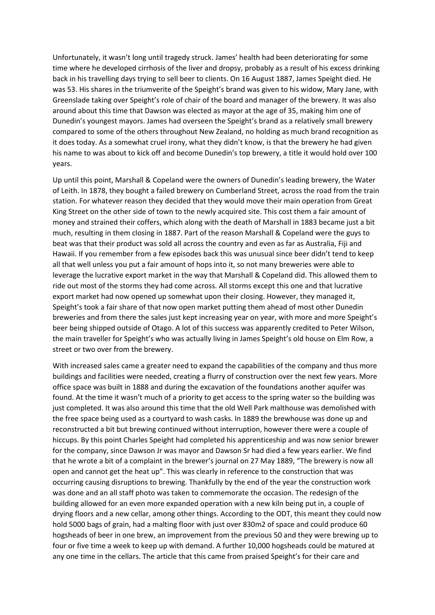Unfortunately, it wasn't long until tragedy struck. James' health had been deteriorating for some time where he developed cirrhosis of the liver and dropsy, probably as a result of his excess drinking back in his travelling days trying to sell beer to clients. On 16 August 1887, James Speight died. He was 53. His shares in the triumverite of the Speight's brand was given to his widow, Mary Jane, with Greenslade taking over Speight's role of chair of the board and manager of the brewery. It was also around about this time that Dawson was elected as mayor at the age of 35, making him one of Dunedin's youngest mayors. James had overseen the Speight's brand as a relatively small brewery compared to some of the others throughout New Zealand, no holding as much brand recognition as it does today. As a somewhat cruel irony, what they didn't know, is that the brewery he had given his name to was about to kick off and become Dunedin's top brewery, a title it would hold over 100 years.

Up until this point, Marshall & Copeland were the owners of Dunedin's leading brewery, the Water of Leith. In 1878, they bought a failed brewery on Cumberland Street, across the road from the train station. For whatever reason they decided that they would move their main operation from Great King Street on the other side of town to the newly acquired site. This cost them a fair amount of money and strained their coffers, which along with the death of Marshall in 1883 became just a bit much, resulting in them closing in 1887. Part of the reason Marshall & Copeland were the guys to beat was that their product was sold all across the country and even as far as Australia, Fiji and Hawaii. If you remember from a few episodes back this was unusual since beer didn't tend to keep all that well unless you put a fair amount of hops into it, so not many breweries were able to leverage the lucrative export market in the way that Marshall & Copeland did. This allowed them to ride out most of the storms they had come across. All storms except this one and that lucrative export market had now opened up somewhat upon their closing. However, they managed it, Speight's took a fair share of that now open market putting them ahead of most other Dunedin breweries and from there the sales just kept increasing year on year, with more and more Speight's beer being shipped outside of Otago. A lot of this success was apparently credited to Peter Wilson, the main traveller for Speight's who was actually living in James Speight's old house on Elm Row, a street or two over from the brewery.

With increased sales came a greater need to expand the capabilities of the company and thus more buildings and facilities were needed, creating a flurry of construction over the next few years. More office space was built in 1888 and during the excavation of the foundations another aquifer was found. At the time it wasn't much of a priority to get access to the spring water so the building was just completed. It was also around this time that the old Well Park malthouse was demolished with the free space being used as a courtyard to wash casks. In 1889 the brewhouse was done up and reconstructed a bit but brewing continued without interruption, however there were a couple of hiccups. By this point Charles Speight had completed his apprenticeship and was now senior brewer for the company, since Dawson Jr was mayor and Dawson Sr had died a few years earlier. We find that he wrote a bit of a complaint in the brewer's journal on 27 May 1889, "The brewery is now all open and cannot get the heat up". This was clearly in reference to the construction that was occurring causing disruptions to brewing. Thankfully by the end of the year the construction work was done and an all staff photo was taken to commemorate the occasion. The redesign of the building allowed for an even more expanded operation with a new kiln being put in, a couple of drying floors and a new cellar, among other things. According to the ODT, this meant they could now hold 5000 bags of grain, had a malting floor with just over 830m2 of space and could produce 60 hogsheads of beer in one brew, an improvement from the previous 50 and they were brewing up to four or five time a week to keep up with demand. A further 10,000 hogsheads could be matured at any one time in the cellars. The article that this came from praised Speight's for their care and